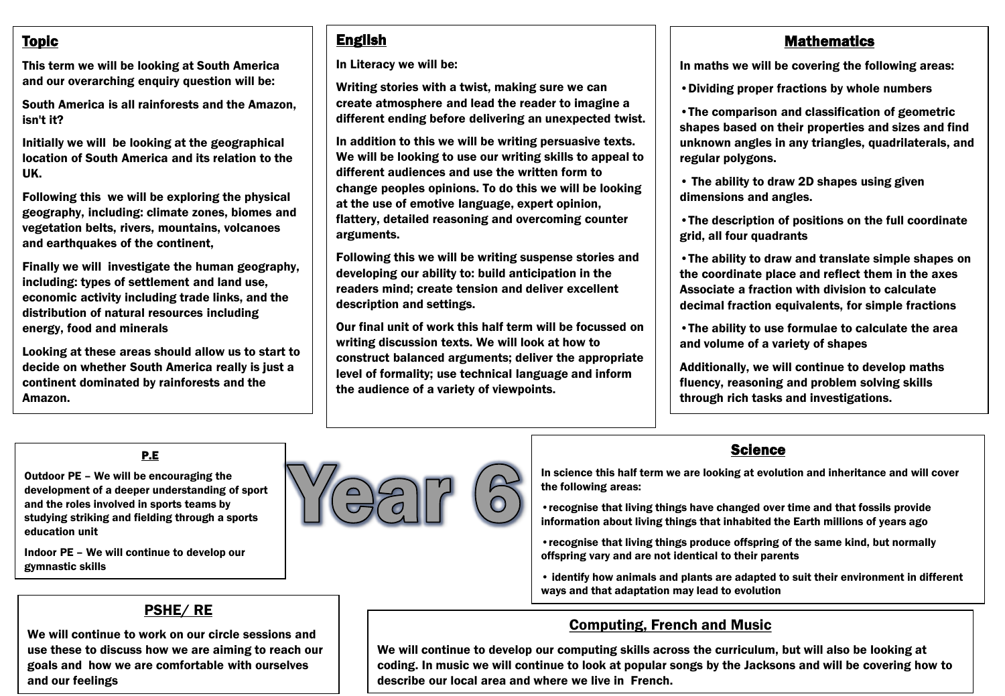## Topic

This term we will be looking at South America and our overarching enquiry question will be:

South America is all rainforests and the Amazon, isn't it?

Initially we will be looking at the geographical location of South America and its relation to the UK.

Following this we will be exploring the physical geography, including: climate zones, biomes and vegetation belts, rivers, mountains, volcanoes and earthquakes of the continent,

Finally we will investigate the human geography, including: types of settlement and land use, economic activity including trade links, and the distribution of natural resources including energy, food and minerals

Looking at these areas should allow us to start to decide on whether South America really is just a continent dominated by rainforests and the Amazon.

# English

In Literacy we will be:

Writing stories with a twist, making sure we can create atmosphere and lead the reader to imagine a different ending before delivering an unexpected twist.

In addition to this we will be writing persuasive texts. We will be looking to use our writing skills to appeal to different audiences and use the written form to change peoples opinions. To do this we will be looking at the use of emotive language, expert opinion, flattery, detailed reasoning and overcoming counter arguments.

Following this we will be writing suspense stories and developing our ability to: build anticipation in the readers mind; create tension and deliver excellent description and settings.

Our final unit of work this half term will be focussed on writing discussion texts. We will look at how to construct balanced arguments; deliver the appropriate level of formality; use technical language and inform the audience of a variety of viewpoints.

### **Mathematics**

In maths we will be covering the following areas:

•Dividing proper fractions by whole numbers

•The comparison and classification of geometric shapes based on their properties and sizes and find unknown angles in any triangles, quadrilaterals, and regular polygons.

• The ability to draw 2D shapes using given dimensions and angles.

•The description of positions on the full coordinate grid, all four quadrants

•The ability to draw and translate simple shapes on the coordinate place and reflect them in the axes Associate a fraction with division to calculate decimal fraction equivalents, for simple fractions

•The ability to use formulae to calculate the area and volume of a variety of shapes

Additionally, we will continue to develop maths fluency, reasoning and problem solving skills through rich tasks and investigations.

#### P.E

Outdoor PE – We will be encouraging the development of a deeper understanding of sport and the roles involved in sports teams by studying striking and fielding through a sports education unit

Indoor PE – We will continue to develop our gymnastic skills



## **Science**

In science this half term we are looking at evolution and inheritance and will cover the following areas:

•recognise that living things have changed over time and that fossils provide information about living things that inhabited the Earth millions of years ago

•recognise that living things produce offspring of the same kind, but normally offspring vary and are not identical to their parents

• identify how animals and plants are adapted to suit their environment in different ways and that adaptation may lead to evolution

## Computing, French and Music

We will continue to develop our computing skills across the curriculum, but will also be looking at coding. In music we will continue to look at popular songs by the Jacksons and will be covering how to describe our local area and where we live in French.

### PSHE/ RE

We will continue to work on our circle sessions and use these to discuss how we are aiming to reach our goals and how we are comfortable with ourselves and our feelings